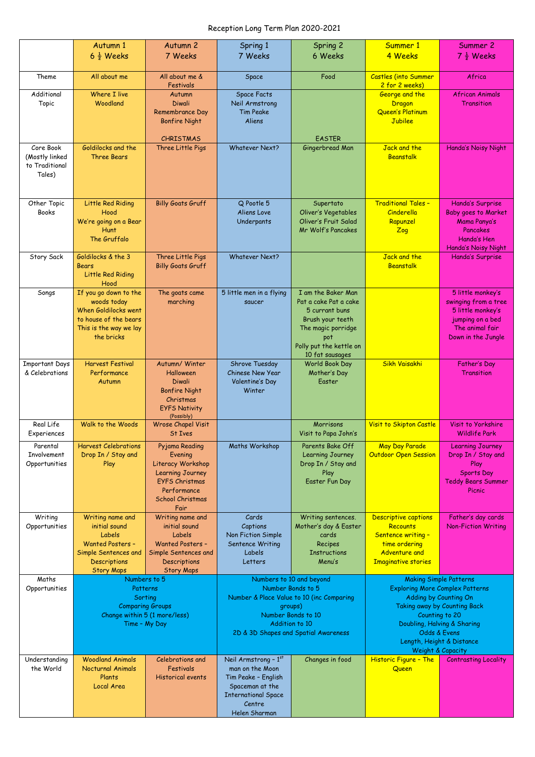## Reception Long Term Plan 2020-2021

|                                                         | Autumn 1<br>$6\frac{1}{2}$ Weeks                                                                                                           | Autumn <sub>2</sub><br>7 Weeks                                                                                                                       | Spring 1<br>7 Weeks                                                                                                                        | Spring 2<br>6 Weeks                                                                                                                                          | Summer 1<br>4 Weeks                                                                                                                                                      | Summer 2<br>$7\frac{1}{2}$ Weeks                                                                                            |
|---------------------------------------------------------|--------------------------------------------------------------------------------------------------------------------------------------------|------------------------------------------------------------------------------------------------------------------------------------------------------|--------------------------------------------------------------------------------------------------------------------------------------------|--------------------------------------------------------------------------------------------------------------------------------------------------------------|--------------------------------------------------------------------------------------------------------------------------------------------------------------------------|-----------------------------------------------------------------------------------------------------------------------------|
| Theme                                                   | All about me                                                                                                                               | All about me &<br>Festivals                                                                                                                          | Space                                                                                                                                      | Food                                                                                                                                                         | <b>Castles (into Summer</b><br>2 for 2 weeks)                                                                                                                            | Africa                                                                                                                      |
| Additional<br>Topic                                     | Where I live<br>Woodland                                                                                                                   | Autumn<br><b>Diwali</b><br>Remembrance Day<br><b>Bonfire Night</b>                                                                                   | <b>Space Facts</b><br>Neil Armstrong<br><b>Tim Peake</b><br>Aliens                                                                         |                                                                                                                                                              | George and the<br>Dragon<br>Queen's Platinum<br>Jubilee                                                                                                                  | <b>African Animals</b><br>Transition                                                                                        |
| Core Book<br>(Mostly linked<br>to Traditional<br>Tales) | Goldilocks and the<br><b>Three Bears</b>                                                                                                   | <b>CHRISTMAS</b><br>Three Little Pigs                                                                                                                | <b>Whatever Next?</b>                                                                                                                      | <b>EASTER</b><br>Gingerbread Man                                                                                                                             | Jack and the<br>Beanstalk                                                                                                                                                | Handa's Noisy Night                                                                                                         |
| Other Topic<br><b>Books</b>                             | Little Red Riding<br>Hood<br>We're going on a Bear<br><b>Hunt</b><br>The Gruffalo                                                          | <b>Billy Goats Gruff</b>                                                                                                                             | Q Pootle 5<br>Aliens Love<br>Underpants                                                                                                    | Supertato<br>Oliver's Vegetables<br><b>Oliver's Fruit Salad</b><br>Mr Wolf's Pancakes                                                                        | <b>Traditional Tales -</b><br>Cinderella<br>Rapunzel<br>Zog                                                                                                              | Handa's Surprise<br><b>Baby goes to Market</b><br>Mama Panya's<br>Pancakes<br>Handa's Hen<br>Handa's Noisy Night            |
| Story Sack                                              | Goldilocks & the 3<br>Bears<br>Little Red Riding<br>Hood                                                                                   | Three Little Pigs<br><b>Billy Goats Gruff</b>                                                                                                        | <b>Whatever Next?</b>                                                                                                                      |                                                                                                                                                              | Jack and the<br>Beanstalk                                                                                                                                                | Handa's Surprise                                                                                                            |
| Songs                                                   | If you go down to the<br>woods today<br>When Goldilocks went<br>to house of the bears<br>This is the way we lay<br>the bricks              | The goats came<br>marching                                                                                                                           | 5 little men in a flying<br>saucer                                                                                                         | I am the Baker Man<br>Pat a cake Pat a cake<br>5 currant buns<br>Brush your teeth<br>The magic porridge<br>pot<br>Polly put the kettle on<br>10 fat sausages |                                                                                                                                                                          | 5 little monkey's<br>swinging from a tree<br>5 little monkey's<br>jumping on a bed<br>The animal fair<br>Down in the Jungle |
| <b>Important Days</b><br>& Celebrations                 | <b>Harvest Festival</b><br>Performance<br>Autumn                                                                                           | Autumn/Winter<br>Halloween<br><b>Diwali</b><br><b>Bonfire Night</b><br>Christmas<br><b>EYFS Nativity</b><br>(Possibly)                               | Shrove Tuesday<br>Chinese New Year<br>Valentine's Day<br>Winter                                                                            | World Book Day<br>Mother's Day<br>Easter                                                                                                                     | Sikh Vaisakhi                                                                                                                                                            | Father's Day<br>Transition                                                                                                  |
| Real Life<br>Experiences                                | Walk to the Woods                                                                                                                          | <b>Wrose Chapel Visit</b><br>St Ives                                                                                                                 |                                                                                                                                            | Morrisons<br>Visit to Papa John's                                                                                                                            | Visit to Skipton Castle                                                                                                                                                  | Visit to Yorkshire<br><b>Wildlife Park</b>                                                                                  |
| Parental<br>Involvement<br>Opportunities                | <b>Harvest Celebrations</b><br>Drop In / Stay and<br>Play                                                                                  | Pyjama Reading<br>Evening<br>Literacy Workshop<br><b>Learning Journey</b><br><b>EYFS Christmas</b><br>Performance<br><b>School Christmas</b><br>Fair | Maths Workshop                                                                                                                             | Parents Bake Off<br>Learning Journey<br>Drop In / Stay and<br>Play<br>Easter Fun Day                                                                         | May Day Parade<br><b>Outdoor Open Session</b>                                                                                                                            | <b>Learning Journey</b><br>Drop In / Stay and<br>Play<br>Sports Day<br><b>Teddy Bears Summer</b><br>Picnic                  |
| Writing<br>Opportunities                                | Writing name and<br>initial sound<br>Labels<br><b>Wanted Posters -</b><br>Simple Sentences and<br><b>Descriptions</b><br><b>Story Maps</b> | Writing name and<br>initial sound<br>Labels<br><b>Wanted Posters -</b><br>Simple Sentences and<br>Descriptions<br><b>Story Maps</b>                  | Cards<br>Captions<br><b>Non Fiction Simple</b><br>Sentence Writing<br>Labels<br>Letters                                                    | Writing sentences.<br>Mother's day & Easter<br>cards<br>Recipes<br><b>Instructions</b><br>Menu's                                                             | Descriptive captions<br>Recounts<br>Sentence writing -<br>time ordering<br><b>Adventure and</b><br><b>Imaginative stories</b>                                            | Father's day cards<br><b>Non-Fiction Writing</b>                                                                            |
| Maths<br>Opportunities                                  | Numbers to 5<br>Patterns                                                                                                                   |                                                                                                                                                      | Numbers to 10 and beyond<br>Number Bonds to 5                                                                                              |                                                                                                                                                              | <b>Making Simple Patterns</b><br><b>Exploring More Complex Patterns</b>                                                                                                  |                                                                                                                             |
|                                                         | Sorting<br><b>Comparing Groups</b><br>Change within 5 (1 more/less)<br>Time - My Day                                                       |                                                                                                                                                      | Number & Place Value to 10 (inc Comparing<br>groups)<br>Number Bonds to 10<br>Addition to 10<br>2D & 3D Shapes and Spatial Awareness       |                                                                                                                                                              | Adding by Counting On<br>Taking away by Counting Back<br>Counting to 20<br>Doubling, Halving & Sharing<br>Odds & Evens<br>Length, Height & Distance<br>Weight & Capacity |                                                                                                                             |
|                                                         |                                                                                                                                            |                                                                                                                                                      |                                                                                                                                            |                                                                                                                                                              |                                                                                                                                                                          |                                                                                                                             |
| Understanding<br>the World                              | <b>Woodland Animals</b><br><b>Nocturnal Animals</b><br>Plants<br>Local Area                                                                | Celebrations and<br>Festivals<br><b>Historical events</b>                                                                                            | Neil Armstrong - 1st<br>man on the Moon<br>Tim Peake - English<br>Spaceman at the<br><b>International Space</b><br>Centre<br>Helen Sharman | Changes in food                                                                                                                                              | Historic Figure - The<br>Queen                                                                                                                                           | <b>Contrasting Locality</b>                                                                                                 |